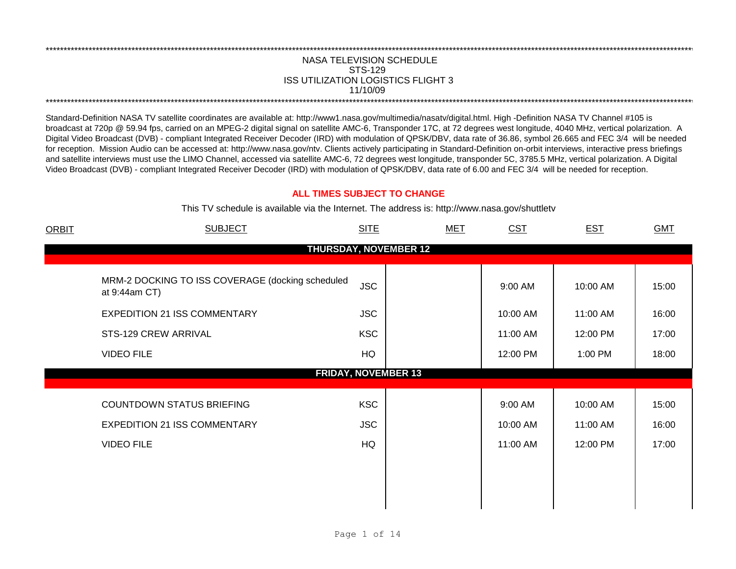## NASA TELEVISION SCHEDULE STS-129 ISS UTILIZATION LOGISTICS FLIGHT 3 11/10/09 \*\*\*\*\*\*\*\*\*\*\*\*\*\*\*\*\*\*\*\*\*\*\*\*\*\*\*\*\*\*\*\*\*\*\*\*\*\*\*\*\*\*\*\*\*\*\*\*\*\*\*\*\*\*\*\*\*\*\*\*\*\*\*\*\*\*\*\*\*\*\*\*\*\*\*\*\*\*\*\*\*\*\*\*\*\*\*\*\*\*\*\*\*\*\*\*\*\*\*\*\*\*\*\*\*\*\*\*\*\*\*\*\*\*\*\*\*\*\*\*\*\*\*\*\*\*\*\*\*\*\*\*\*\*\*\*\*\*\*\*\*\*\*\*\*\*\*\*\*\*\*\*\*\*\*\*\*\*\*\*\*\*\*\*\*\*\*\*\*\*\*\*\*\*\*\*\*\*\*\*\*\*\*\*\*

\*\*\*\*\*\*\*\*\*\*\*\*\*\*\*\*\*\*\*\*\*\*\*\*\*\*\*\*\*\*\*\*\*\*\*\*\*\*\*\*\*\*\*\*\*\*\*\*\*\*\*\*\*\*\*\*\*\*\*\*\*\*\*\*\*\*\*\*\*\*\*\*\*\*\*\*\*\*\*\*\*\*\*\*\*\*\*\*\*\*\*\*\*\*\*\*\*\*\*\*\*\*\*\*\*\*\*\*\*\*\*\*\*\*\*\*\*\*\*\*\*\*\*\*\*\*\*\*\*\*\*\*\*\*\*\*\*\*\*\*\*\*\*\*\*\*\*\*\*\*\*\*\*\*\*\*\*\*\*\*\*\*\*\*\*\*\*\*\*\*\*\*\*\*\*\*\*\*\*\*\*\*\*\*\*

Standard-Definition NASA TV satellite coordinates are available at: http://www1.nasa.gov/multimedia/nasatv/digital.html. High -Definition NASA TV Channel #105 is broadcast at 720p @ 59.94 fps, carried on an MPEG-2 digital signal on satellite AMC-6, Transponder 17C, at 72 degrees west longitude, 4040 MHz, vertical polarization. A Digital Video Broadcast (DVB) - compliant Integrated Receiver Decoder (IRD) with modulation of QPSK/DBV, data rate of 36.86, symbol 26.665 and FEC 3/4 will be needed for reception. Mission Audio can be accessed at: http://www.nasa.gov/ntv. Clients actively participating in Standard-Definition on-orbit interviews, interactive press briefings and satellite interviews must use the LIMO Channel, accessed via satellite AMC-6, 72 degrees west longitude, transponder 5C, 3785.5 MHz, vertical polarization. A Digital Video Broadcast (DVB) - compliant Integrated Receiver Decoder (IRD) with modulation of QPSK/DBV, data rate of 6.00 and FEC 3/4 will be needed for reception.

## **ALL TIMES SUBJECT TO CHANGE**

This TV schedule is available via the Internet. The address is: http://www.nasa.gov/shuttletv

| <b>ORBIT</b> | <b>SUBJECT</b>                                                                                           | <b>SITE</b>              | MET | CST                 | <b>EST</b>           | <b>GMT</b>     |
|--------------|----------------------------------------------------------------------------------------------------------|--------------------------|-----|---------------------|----------------------|----------------|
|              | <b>THURSDAY, NOVEMBER 12</b>                                                                             |                          |     |                     |                      |                |
|              | MRM-2 DOCKING TO ISS COVERAGE (docking scheduled<br>at 9:44am CT)<br><b>EXPEDITION 21 ISS COMMENTARY</b> | <b>JSC</b><br><b>JSC</b> |     | 9:00 AM<br>10:00 AM | 10:00 AM<br>11:00 AM | 15:00<br>16:00 |
|              | STS-129 CREW ARRIVAL                                                                                     | <b>KSC</b>               |     | 11:00 AM            | 12:00 PM             | 17:00          |
|              | <b>VIDEO FILE</b>                                                                                        | HQ                       |     | 12:00 PM            | 1:00 PM              | 18:00          |
|              | <b>FRIDAY, NOVEMBER 13</b>                                                                               |                          |     |                     |                      |                |
|              | <b>COUNTDOWN STATUS BRIEFING</b>                                                                         | <b>KSC</b>               |     | 9:00 AM             | 10:00 AM             | 15:00          |
|              | <b>EXPEDITION 21 ISS COMMENTARY</b>                                                                      | <b>JSC</b>               |     | 10:00 AM            | 11:00 AM             | 16:00          |
|              | <b>VIDEO FILE</b>                                                                                        | HQ                       |     | 11:00 AM            | 12:00 PM             | 17:00          |
|              |                                                                                                          |                          |     |                     |                      |                |
|              |                                                                                                          |                          |     |                     |                      |                |
|              |                                                                                                          |                          |     |                     |                      |                |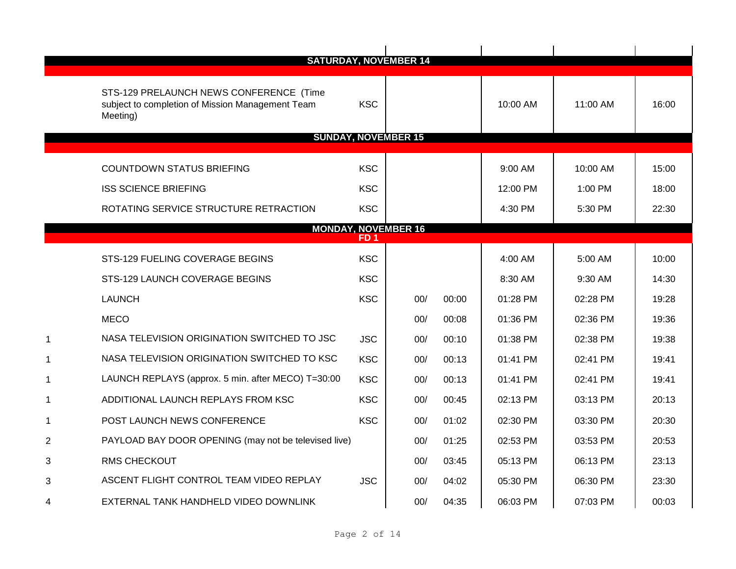|                |                                                                                                         |            | <b>SATURDAY, NOVEMBER 14</b> |       |          |          |       |
|----------------|---------------------------------------------------------------------------------------------------------|------------|------------------------------|-------|----------|----------|-------|
|                |                                                                                                         |            |                              |       |          |          |       |
|                | STS-129 PRELAUNCH NEWS CONFERENCE (Time<br>subject to completion of Mission Management Team<br>Meeting) | <b>KSC</b> |                              |       | 10:00 AM | 11:00 AM | 16:00 |
|                | <b>SUNDAY, NOVEMBER 15</b>                                                                              |            |                              |       |          |          |       |
|                |                                                                                                         |            |                              |       |          |          |       |
|                | <b>COUNTDOWN STATUS BRIEFING</b>                                                                        | <b>KSC</b> |                              |       | 9:00 AM  | 10:00 AM | 15:00 |
|                | <b>ISS SCIENCE BRIEFING</b>                                                                             | <b>KSC</b> |                              |       | 12:00 PM | 1:00 PM  | 18:00 |
|                | ROTATING SERVICE STRUCTURE RETRACTION                                                                   | <b>KSC</b> |                              |       | 4:30 PM  | 5:30 PM  | 22:30 |
|                |                                                                                                         |            | <b>MONDAY, NOVEMBER 16</b>   |       |          |          |       |
|                |                                                                                                         | FD 1       |                              |       |          |          |       |
|                | STS-129 FUELING COVERAGE BEGINS                                                                         | <b>KSC</b> |                              |       | 4:00 AM  | 5:00 AM  | 10:00 |
|                | STS-129 LAUNCH COVERAGE BEGINS                                                                          | <b>KSC</b> |                              |       | 8:30 AM  | 9:30 AM  | 14:30 |
|                | <b>LAUNCH</b>                                                                                           | <b>KSC</b> | 00/                          | 00:00 | 01:28 PM | 02:28 PM | 19:28 |
|                | <b>MECO</b>                                                                                             |            | 00/                          | 00:08 | 01:36 PM | 02:36 PM | 19:36 |
|                | NASA TELEVISION ORIGINATION SWITCHED TO JSC                                                             | <b>JSC</b> | 00/                          | 00:10 | 01:38 PM | 02:38 PM | 19:38 |
|                | NASA TELEVISION ORIGINATION SWITCHED TO KSC                                                             | <b>KSC</b> | 00/                          | 00:13 | 01:41 PM | 02:41 PM | 19:41 |
| -1             | LAUNCH REPLAYS (approx. 5 min. after MECO) T=30:00                                                      | <b>KSC</b> | 00/                          | 00:13 | 01:41 PM | 02:41 PM | 19:41 |
| 1              | ADDITIONAL LAUNCH REPLAYS FROM KSC                                                                      | <b>KSC</b> | 00/                          | 00:45 | 02:13 PM | 03:13 PM | 20:13 |
| 1              | POST LAUNCH NEWS CONFERENCE                                                                             | <b>KSC</b> | 00/                          | 01:02 | 02:30 PM | 03:30 PM | 20:30 |
| $\overline{2}$ | PAYLOAD BAY DOOR OPENING (may not be televised live)                                                    |            | 00/                          | 01:25 | 02:53 PM | 03:53 PM | 20:53 |
| 3              | <b>RMS CHECKOUT</b>                                                                                     |            | 00/                          | 03:45 | 05:13 PM | 06:13 PM | 23:13 |
| 3              | ASCENT FLIGHT CONTROL TEAM VIDEO REPLAY                                                                 | <b>JSC</b> | 00/                          | 04:02 | 05:30 PM | 06:30 PM | 23:30 |
| 4              | EXTERNAL TANK HANDHELD VIDEO DOWNLINK                                                                   |            | 00/                          | 04:35 | 06:03 PM | 07:03 PM | 00:03 |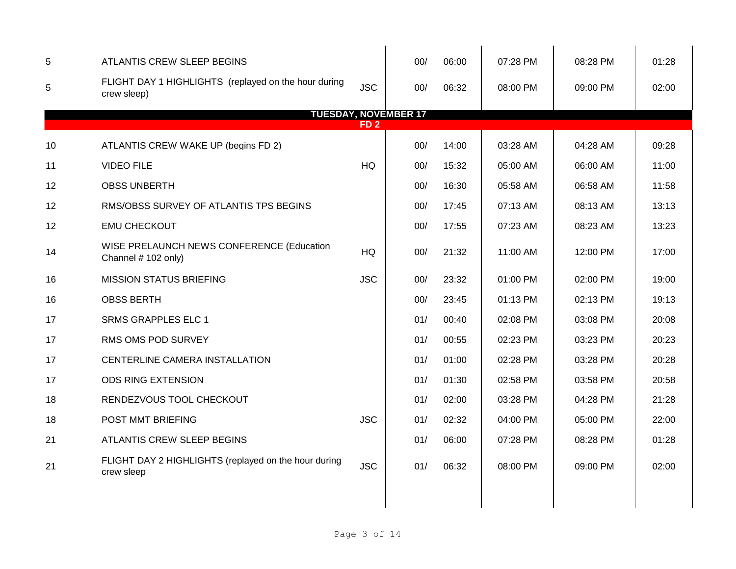| 5  | ATLANTIS CREW SLEEP BEGINS                                          |                 | 00/ | 06:00 | 07:28 PM | 08:28 PM | 01:28 |
|----|---------------------------------------------------------------------|-----------------|-----|-------|----------|----------|-------|
| 5  | FLIGHT DAY 1 HIGHLIGHTS (replayed on the hour during<br>crew sleep) | <b>JSC</b>      | 00/ | 06:32 | 08:00 PM | 09:00 PM | 02:00 |
|    | <b>TUESDAY, NOVEMBER 17</b>                                         | FD <sub>2</sub> |     |       |          |          |       |
|    |                                                                     |                 |     |       |          |          |       |
| 10 | ATLANTIS CREW WAKE UP (begins FD 2)                                 |                 | 00/ | 14:00 | 03:28 AM | 04:28 AM | 09:28 |
| 11 | <b>VIDEO FILE</b>                                                   | HQ              | 00/ | 15:32 | 05:00 AM | 06:00 AM | 11:00 |
| 12 | <b>OBSS UNBERTH</b>                                                 |                 | 00/ | 16:30 | 05:58 AM | 06:58 AM | 11:58 |
| 12 | RMS/OBSS SURVEY OF ATLANTIS TPS BEGINS                              |                 | 00/ | 17:45 | 07:13 AM | 08:13 AM | 13:13 |
| 12 | <b>EMU CHECKOUT</b>                                                 |                 | 00/ | 17:55 | 07:23 AM | 08:23 AM | 13:23 |
| 14 | WISE PRELAUNCH NEWS CONFERENCE (Education<br>Channel # 102 only)    | HQ              | 00/ | 21:32 | 11:00 AM | 12:00 PM | 17:00 |
| 16 | <b>MISSION STATUS BRIEFING</b>                                      | <b>JSC</b>      | 00/ | 23:32 | 01:00 PM | 02:00 PM | 19:00 |
| 16 | <b>OBSS BERTH</b>                                                   |                 | 00/ | 23:45 | 01:13 PM | 02:13 PM | 19:13 |
| 17 | <b>SRMS GRAPPLES ELC 1</b>                                          |                 | 01/ | 00:40 | 02:08 PM | 03:08 PM | 20:08 |
| 17 | RMS OMS POD SURVEY                                                  |                 | 01/ | 00:55 | 02:23 PM | 03:23 PM | 20:23 |
| 17 | CENTERLINE CAMERA INSTALLATION                                      |                 | 01/ | 01:00 | 02:28 PM | 03:28 PM | 20:28 |
| 17 | <b>ODS RING EXTENSION</b>                                           |                 | 01/ | 01:30 | 02:58 PM | 03:58 PM | 20:58 |
| 18 | RENDEZVOUS TOOL CHECKOUT                                            |                 | 01/ | 02:00 | 03:28 PM | 04:28 PM | 21:28 |
| 18 | POST MMT BRIEFING                                                   | <b>JSC</b>      | 01/ | 02:32 | 04:00 PM | 05:00 PM | 22:00 |
| 21 | ATLANTIS CREW SLEEP BEGINS                                          |                 | 01/ | 06:00 | 07:28 PM | 08:28 PM | 01:28 |
| 21 | FLIGHT DAY 2 HIGHLIGHTS (replayed on the hour during<br>crew sleep  | <b>JSC</b>      | 01/ | 06:32 | 08:00 PM | 09:00 PM | 02:00 |
|    |                                                                     |                 |     |       |          |          |       |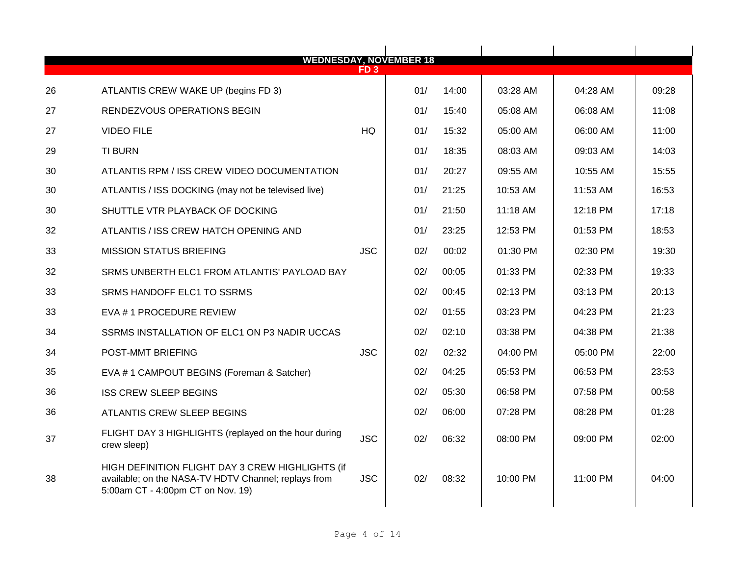| <b>WEDNESDAY, NOVEMBER 18</b> |                                                                                                                                               |            |     |       |          |          |       |  |  |  |
|-------------------------------|-----------------------------------------------------------------------------------------------------------------------------------------------|------------|-----|-------|----------|----------|-------|--|--|--|
|                               |                                                                                                                                               | ED 3       |     |       |          |          |       |  |  |  |
| 26                            | ATLANTIS CREW WAKE UP (begins FD 3)                                                                                                           |            | 01/ | 14:00 | 03:28 AM | 04:28 AM | 09:28 |  |  |  |
| 27                            | RENDEZVOUS OPERATIONS BEGIN                                                                                                                   |            | 01/ | 15:40 | 05:08 AM | 06:08 AM | 11:08 |  |  |  |
| 27                            | <b>VIDEO FILE</b>                                                                                                                             | <b>HQ</b>  | 01/ | 15:32 | 05:00 AM | 06:00 AM | 11:00 |  |  |  |
| 29                            | <b>TI BURN</b>                                                                                                                                |            | 01/ | 18:35 | 08:03 AM | 09:03 AM | 14:03 |  |  |  |
| 30                            | ATLANTIS RPM / ISS CREW VIDEO DOCUMENTATION                                                                                                   |            | 01/ | 20:27 | 09:55 AM | 10:55 AM | 15:55 |  |  |  |
| 30                            | ATLANTIS / ISS DOCKING (may not be televised live)                                                                                            |            | 01/ | 21:25 | 10:53 AM | 11:53 AM | 16:53 |  |  |  |
| 30                            | SHUTTLE VTR PLAYBACK OF DOCKING                                                                                                               |            | 01/ | 21:50 | 11:18 AM | 12:18 PM | 17:18 |  |  |  |
| 32                            | ATLANTIS / ISS CREW HATCH OPENING AND                                                                                                         |            | 01/ | 23:25 | 12:53 PM | 01:53 PM | 18:53 |  |  |  |
| 33                            | <b>MISSION STATUS BRIEFING</b>                                                                                                                | <b>JSC</b> | 02/ | 00:02 | 01:30 PM | 02:30 PM | 19:30 |  |  |  |
| 32                            | SRMS UNBERTH ELC1 FROM ATLANTIS' PAYLOAD BAY                                                                                                  |            | 02/ | 00:05 | 01:33 PM | 02:33 PM | 19:33 |  |  |  |
| 33                            | SRMS HANDOFF ELC1 TO SSRMS                                                                                                                    |            | 02/ | 00:45 | 02:13 PM | 03:13 PM | 20:13 |  |  |  |
| 33                            | EVA #1 PROCEDURE REVIEW                                                                                                                       |            | 02/ | 01:55 | 03:23 PM | 04:23 PM | 21:23 |  |  |  |
| 34                            | SSRMS INSTALLATION OF ELC1 ON P3 NADIR UCCAS                                                                                                  |            | 02/ | 02:10 | 03:38 PM | 04:38 PM | 21:38 |  |  |  |
| 34                            | POST-MMT BRIEFING                                                                                                                             | <b>JSC</b> | 02/ | 02:32 | 04:00 PM | 05:00 PM | 22:00 |  |  |  |
| 35                            | EVA # 1 CAMPOUT BEGINS (Foreman & Satcher)                                                                                                    |            | 02/ | 04:25 | 05:53 PM | 06:53 PM | 23:53 |  |  |  |
| 36                            | <b>ISS CREW SLEEP BEGINS</b>                                                                                                                  |            | 02/ | 05:30 | 06:58 PM | 07:58 PM | 00:58 |  |  |  |
| 36                            | ATLANTIS CREW SLEEP BEGINS                                                                                                                    |            | 02/ | 06:00 | 07:28 PM | 08:28 PM | 01:28 |  |  |  |
| 37                            | FLIGHT DAY 3 HIGHLIGHTS (replayed on the hour during<br>crew sleep)                                                                           | <b>JSC</b> | 02/ | 06:32 | 08:00 PM | 09:00 PM | 02:00 |  |  |  |
| 38                            | HIGH DEFINITION FLIGHT DAY 3 CREW HIGHLIGHTS (if<br>available; on the NASA-TV HDTV Channel; replays from<br>5:00am CT - 4:00pm CT on Nov. 19) | <b>JSC</b> | 02/ | 08:32 | 10:00 PM | 11:00 PM | 04:00 |  |  |  |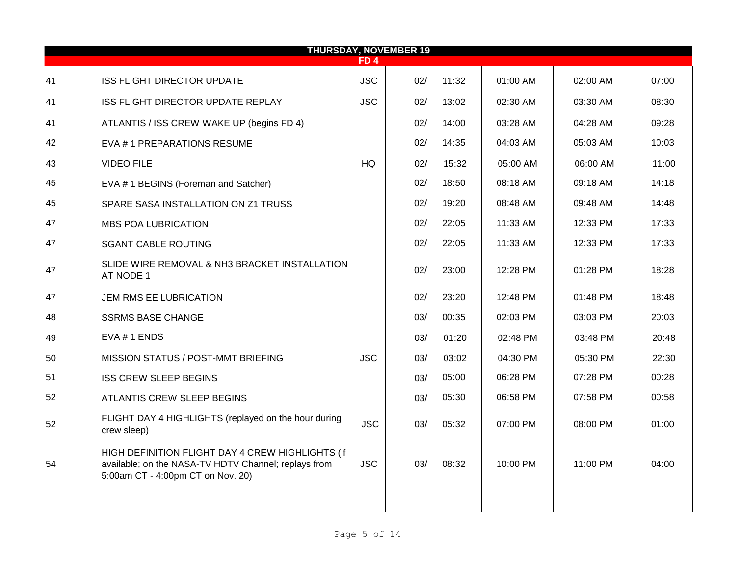|    | <b>THURSDAY, NOVEMBER 19</b><br>FD 4                                                                                                          |            |     |       |          |          |       |  |  |  |  |  |
|----|-----------------------------------------------------------------------------------------------------------------------------------------------|------------|-----|-------|----------|----------|-------|--|--|--|--|--|
| 41 | <b>ISS FLIGHT DIRECTOR UPDATE</b>                                                                                                             | <b>JSC</b> | 02/ | 11:32 | 01:00 AM | 02:00 AM | 07:00 |  |  |  |  |  |
| 41 | ISS FLIGHT DIRECTOR UPDATE REPLAY                                                                                                             | <b>JSC</b> | 02/ | 13:02 | 02:30 AM | 03:30 AM | 08:30 |  |  |  |  |  |
| 41 | ATLANTIS / ISS CREW WAKE UP (begins FD 4)                                                                                                     |            | 02/ | 14:00 | 03:28 AM | 04:28 AM | 09:28 |  |  |  |  |  |
| 42 | EVA #1 PREPARATIONS RESUME                                                                                                                    |            | 02/ | 14:35 | 04:03 AM | 05:03 AM | 10:03 |  |  |  |  |  |
| 43 | <b>VIDEO FILE</b>                                                                                                                             | <b>HQ</b>  | 02/ | 15:32 | 05:00 AM | 06:00 AM | 11:00 |  |  |  |  |  |
| 45 | EVA #1 BEGINS (Foreman and Satcher)                                                                                                           |            | 02/ | 18:50 | 08:18 AM | 09:18 AM | 14:18 |  |  |  |  |  |
| 45 | SPARE SASA INSTALLATION ON Z1 TRUSS                                                                                                           |            | 02/ | 19:20 | 08:48 AM | 09:48 AM | 14:48 |  |  |  |  |  |
| 47 | <b>MBS POA LUBRICATION</b>                                                                                                                    |            | 02/ | 22:05 | 11:33 AM | 12:33 PM | 17:33 |  |  |  |  |  |
| 47 | <b>SGANT CABLE ROUTING</b>                                                                                                                    |            | 02/ | 22:05 | 11:33 AM | 12:33 PM | 17:33 |  |  |  |  |  |
| 47 | SLIDE WIRE REMOVAL & NH3 BRACKET INSTALLATION<br>AT NODE 1                                                                                    |            | 02/ | 23:00 | 12:28 PM | 01:28 PM | 18:28 |  |  |  |  |  |
| 47 | JEM RMS EE LUBRICATION                                                                                                                        |            | 02/ | 23:20 | 12:48 PM | 01:48 PM | 18:48 |  |  |  |  |  |
| 48 | <b>SSRMS BASE CHANGE</b>                                                                                                                      |            | 03/ | 00:35 | 02:03 PM | 03:03 PM | 20:03 |  |  |  |  |  |
| 49 | EVA #1 ENDS                                                                                                                                   |            | 03/ | 01:20 | 02:48 PM | 03:48 PM | 20:48 |  |  |  |  |  |
| 50 | MISSION STATUS / POST-MMT BRIEFING                                                                                                            | <b>JSC</b> | 03/ | 03:02 | 04:30 PM | 05:30 PM | 22:30 |  |  |  |  |  |
| 51 | <b>ISS CREW SLEEP BEGINS</b>                                                                                                                  |            | 03/ | 05:00 | 06:28 PM | 07:28 PM | 00:28 |  |  |  |  |  |
| 52 | ATLANTIS CREW SLEEP BEGINS                                                                                                                    |            | 03/ | 05:30 | 06:58 PM | 07:58 PM | 00:58 |  |  |  |  |  |
| 52 | FLIGHT DAY 4 HIGHLIGHTS (replayed on the hour during<br>crew sleep)                                                                           | <b>JSC</b> | 03/ | 05:32 | 07:00 PM | 08:00 PM | 01:00 |  |  |  |  |  |
| 54 | HIGH DEFINITION FLIGHT DAY 4 CREW HIGHLIGHTS (if<br>available; on the NASA-TV HDTV Channel; replays from<br>5:00am CT - 4:00pm CT on Nov. 20) | <b>JSC</b> | 03/ | 08:32 | 10:00 PM | 11:00 PM | 04:00 |  |  |  |  |  |
|    |                                                                                                                                               |            |     |       |          |          |       |  |  |  |  |  |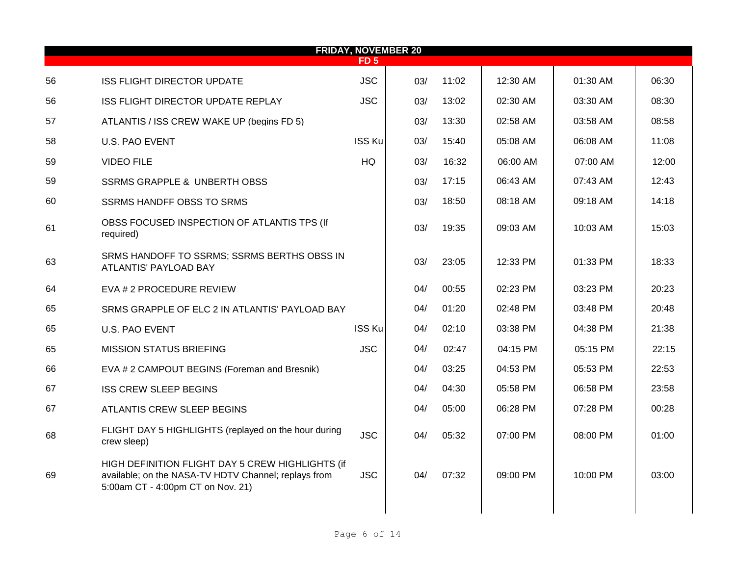| <b>FRIDAY, NOVEMBER 20</b><br><b>FD5</b> |                                                                                                                                               |               |     |       |          |          |       |  |  |  |  |
|------------------------------------------|-----------------------------------------------------------------------------------------------------------------------------------------------|---------------|-----|-------|----------|----------|-------|--|--|--|--|
| 56                                       | <b>ISS FLIGHT DIRECTOR UPDATE</b>                                                                                                             | <b>JSC</b>    | 03/ | 11:02 | 12:30 AM | 01:30 AM | 06:30 |  |  |  |  |
| 56                                       | ISS FLIGHT DIRECTOR UPDATE REPLAY                                                                                                             | <b>JSC</b>    | 03/ | 13:02 | 02:30 AM | 03:30 AM | 08:30 |  |  |  |  |
| 57                                       | ATLANTIS / ISS CREW WAKE UP (begins FD 5)                                                                                                     |               | 03/ | 13:30 | 02:58 AM | 03:58 AM | 08:58 |  |  |  |  |
| 58                                       | U.S. PAO EVENT                                                                                                                                | <b>ISS Ku</b> | 03/ | 15:40 | 05:08 AM | 06:08 AM | 11:08 |  |  |  |  |
| 59                                       | <b>VIDEO FILE</b>                                                                                                                             | HQ            | 03/ | 16:32 | 06:00 AM | 07:00 AM | 12:00 |  |  |  |  |
| 59                                       | <b>SSRMS GRAPPLE &amp; UNBERTH OBSS</b>                                                                                                       |               | 03/ | 17:15 | 06:43 AM | 07:43 AM | 12:43 |  |  |  |  |
| 60                                       | <b>SSRMS HANDFF OBSS TO SRMS</b>                                                                                                              |               | 03/ | 18:50 | 08:18 AM | 09:18 AM | 14:18 |  |  |  |  |
| 61                                       | OBSS FOCUSED INSPECTION OF ATLANTIS TPS (If<br>required)                                                                                      |               | 03/ | 19:35 | 09:03 AM | 10:03 AM | 15:03 |  |  |  |  |
| 63                                       | SRMS HANDOFF TO SSRMS; SSRMS BERTHS OBSS IN<br>ATLANTIS' PAYLOAD BAY                                                                          |               | 03/ | 23:05 | 12:33 PM | 01:33 PM | 18:33 |  |  |  |  |
| 64                                       | EVA # 2 PROCEDURE REVIEW                                                                                                                      |               | 04/ | 00:55 | 02:23 PM | 03:23 PM | 20:23 |  |  |  |  |
| 65                                       | SRMS GRAPPLE OF ELC 2 IN ATLANTIS' PAYLOAD BAY                                                                                                |               | 04/ | 01:20 | 02:48 PM | 03:48 PM | 20:48 |  |  |  |  |
| 65                                       | <b>U.S. PAO EVENT</b>                                                                                                                         | <b>ISS Ku</b> | 04/ | 02:10 | 03:38 PM | 04:38 PM | 21:38 |  |  |  |  |
| 65                                       | <b>MISSION STATUS BRIEFING</b>                                                                                                                | <b>JSC</b>    | 04/ | 02:47 | 04:15 PM | 05:15 PM | 22:15 |  |  |  |  |
| 66                                       | EVA # 2 CAMPOUT BEGINS (Foreman and Bresnik)                                                                                                  |               | 04/ | 03:25 | 04:53 PM | 05:53 PM | 22:53 |  |  |  |  |
| 67                                       | <b>ISS CREW SLEEP BEGINS</b>                                                                                                                  |               | 04/ | 04:30 | 05:58 PM | 06:58 PM | 23:58 |  |  |  |  |
| 67                                       | ATLANTIS CREW SLEEP BEGINS                                                                                                                    |               | 04/ | 05:00 | 06:28 PM | 07:28 PM | 00:28 |  |  |  |  |
| 68                                       | FLIGHT DAY 5 HIGHLIGHTS (replayed on the hour during<br>crew sleep)                                                                           | <b>JSC</b>    | 04/ | 05:32 | 07:00 PM | 08:00 PM | 01:00 |  |  |  |  |
| 69                                       | HIGH DEFINITION FLIGHT DAY 5 CREW HIGHLIGHTS (if<br>available; on the NASA-TV HDTV Channel; replays from<br>5:00am CT - 4:00pm CT on Nov. 21) | <b>JSC</b>    | 04/ | 07:32 | 09:00 PM | 10:00 PM | 03:00 |  |  |  |  |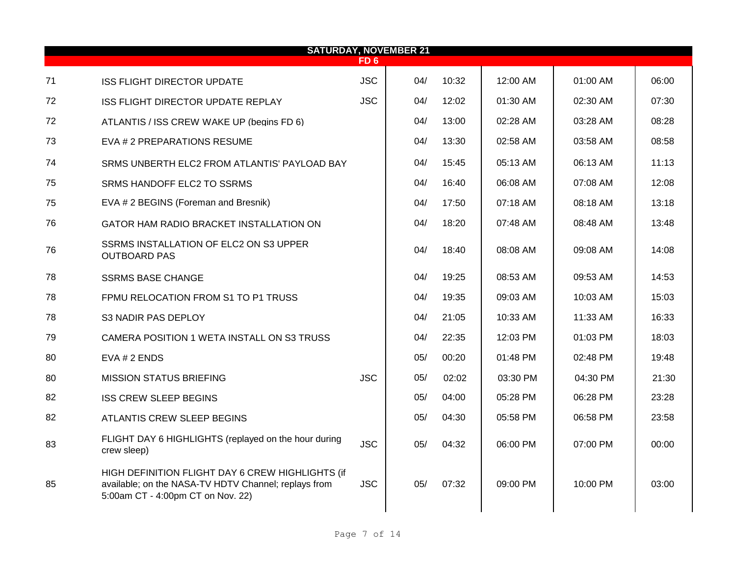| <b>SATURDAY, NOVEMBER 21</b> |                                                                                                                                               |            |     |       |          |            |       |  |  |  |  |
|------------------------------|-----------------------------------------------------------------------------------------------------------------------------------------------|------------|-----|-------|----------|------------|-------|--|--|--|--|
|                              |                                                                                                                                               | FD 6       |     |       |          |            |       |  |  |  |  |
| 71                           | <b>ISS FLIGHT DIRECTOR UPDATE</b>                                                                                                             | <b>JSC</b> | 04/ | 10:32 | 12:00 AM | 01:00 AM   | 06:00 |  |  |  |  |
| 72                           | ISS FLIGHT DIRECTOR UPDATE REPLAY                                                                                                             | <b>JSC</b> | 04/ | 12:02 | 01:30 AM | 02:30 AM   | 07:30 |  |  |  |  |
| 72                           | ATLANTIS / ISS CREW WAKE UP (begins FD 6)                                                                                                     |            | 04/ | 13:00 | 02:28 AM | 03:28 AM   | 08:28 |  |  |  |  |
| 73                           | EVA # 2 PREPARATIONS RESUME                                                                                                                   |            | 04/ | 13:30 | 02:58 AM | 03:58 AM   | 08:58 |  |  |  |  |
| 74                           | SRMS UNBERTH ELC2 FROM ATLANTIS' PAYLOAD BAY                                                                                                  |            | 04/ | 15:45 | 05:13 AM | 06:13 AM   | 11:13 |  |  |  |  |
| 75                           | SRMS HANDOFF ELC2 TO SSRMS                                                                                                                    |            | 04/ | 16:40 | 06:08 AM | 07:08 AM   | 12:08 |  |  |  |  |
| 75                           | EVA # 2 BEGINS (Foreman and Bresnik)                                                                                                          |            | 04/ | 17:50 | 07:18 AM | 08:18 AM   | 13:18 |  |  |  |  |
| 76                           | GATOR HAM RADIO BRACKET INSTALLATION ON                                                                                                       |            | 04/ | 18:20 | 07:48 AM | 08:48 AM   | 13:48 |  |  |  |  |
| 76                           | SSRMS INSTALLATION OF ELC2 ON S3 UPPER<br><b>OUTBOARD PAS</b>                                                                                 |            | 04/ | 18:40 | 08:08 AM | 09:08 AM   | 14:08 |  |  |  |  |
| 78                           | <b>SSRMS BASE CHANGE</b>                                                                                                                      |            | 04/ | 19:25 | 08:53 AM | 09:53 AM   | 14:53 |  |  |  |  |
| 78                           | FPMU RELOCATION FROM S1 TO P1 TRUSS                                                                                                           |            | 04/ | 19:35 | 09:03 AM | 10:03 AM   | 15:03 |  |  |  |  |
| 78                           | S3 NADIR PAS DEPLOY                                                                                                                           |            | 04/ | 21:05 | 10:33 AM | $11:33$ AM | 16:33 |  |  |  |  |
| 79                           | CAMERA POSITION 1 WETA INSTALL ON S3 TRUSS                                                                                                    |            | 04/ | 22:35 | 12:03 PM | 01:03 PM   | 18:03 |  |  |  |  |
| 80                           | EVA # 2 ENDS                                                                                                                                  |            | 05/ | 00:20 | 01:48 PM | 02:48 PM   | 19:48 |  |  |  |  |
| 80                           | <b>MISSION STATUS BRIEFING</b>                                                                                                                | <b>JSC</b> | 05/ | 02:02 | 03:30 PM | 04:30 PM   | 21:30 |  |  |  |  |
| 82                           | <b>ISS CREW SLEEP BEGINS</b>                                                                                                                  |            | 05/ | 04:00 | 05:28 PM | 06:28 PM   | 23:28 |  |  |  |  |
| 82                           | ATLANTIS CREW SLEEP BEGINS                                                                                                                    |            | 05/ | 04:30 | 05:58 PM | 06:58 PM   | 23:58 |  |  |  |  |
| 83                           | FLIGHT DAY 6 HIGHLIGHTS (replayed on the hour during<br>crew sleep)                                                                           | <b>JSC</b> | 05/ | 04:32 | 06:00 PM | 07:00 PM   | 00:00 |  |  |  |  |
| 85                           | HIGH DEFINITION FLIGHT DAY 6 CREW HIGHLIGHTS (if<br>available; on the NASA-TV HDTV Channel; replays from<br>5:00am CT - 4:00pm CT on Nov. 22) | <b>JSC</b> | 05/ | 07:32 | 09:00 PM | 10:00 PM   | 03:00 |  |  |  |  |
|                              |                                                                                                                                               |            |     |       |          |            |       |  |  |  |  |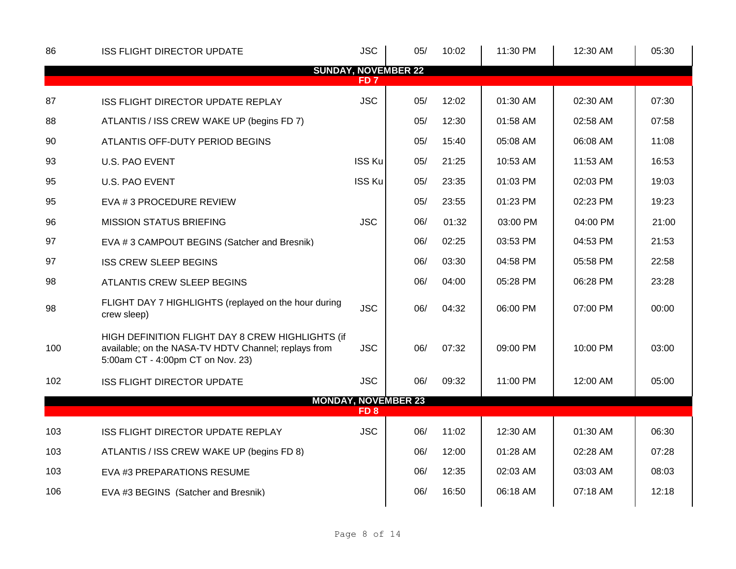| 86  | <b>ISS FLIGHT DIRECTOR UPDATE</b>                                                                                                             | <b>JSC</b>      | 05/                        | 10:02 | 11:30 PM | 12:30 AM | 05:30 |
|-----|-----------------------------------------------------------------------------------------------------------------------------------------------|-----------------|----------------------------|-------|----------|----------|-------|
|     |                                                                                                                                               | FD <sub>7</sub> | <b>SUNDAY, NOVEMBER 22</b> |       |          |          |       |
| 87  | ISS FLIGHT DIRECTOR UPDATE REPLAY                                                                                                             | <b>JSC</b>      | 05/                        | 12:02 | 01:30 AM | 02:30 AM | 07:30 |
| 88  | ATLANTIS / ISS CREW WAKE UP (begins FD 7)                                                                                                     |                 | 05/                        | 12:30 | 01:58 AM | 02:58 AM | 07:58 |
| 90  | ATLANTIS OFF-DUTY PERIOD BEGINS                                                                                                               |                 | 05/                        | 15:40 | 05:08 AM | 06:08 AM | 11:08 |
| 93  | <b>U.S. PAO EVENT</b>                                                                                                                         | <b>ISS Ku</b>   | 05/                        | 21:25 | 10:53 AM | 11:53 AM | 16:53 |
| 95  | <b>U.S. PAO EVENT</b>                                                                                                                         | <b>ISS Ku</b>   | 05/                        | 23:35 | 01:03 PM | 02:03 PM | 19:03 |
| 95  | EVA # 3 PROCEDURE REVIEW                                                                                                                      |                 | 05/                        | 23:55 | 01:23 PM | 02:23 PM | 19:23 |
| 96  | <b>MISSION STATUS BRIEFING</b>                                                                                                                | <b>JSC</b>      | 06/                        | 01:32 | 03:00 PM | 04:00 PM | 21:00 |
| 97  | EVA #3 CAMPOUT BEGINS (Satcher and Bresnik)                                                                                                   |                 | 06/                        | 02:25 | 03:53 PM | 04:53 PM | 21:53 |
| 97  | <b>ISS CREW SLEEP BEGINS</b>                                                                                                                  |                 | 06/                        | 03:30 | 04:58 PM | 05:58 PM | 22:58 |
| 98  | ATLANTIS CREW SLEEP BEGINS                                                                                                                    |                 | 06/                        | 04:00 | 05:28 PM | 06:28 PM | 23:28 |
| 98  | FLIGHT DAY 7 HIGHLIGHTS (replayed on the hour during<br>crew sleep)                                                                           | <b>JSC</b>      | 06/                        | 04:32 | 06:00 PM | 07:00 PM | 00:00 |
| 100 | HIGH DEFINITION FLIGHT DAY 8 CREW HIGHLIGHTS (if<br>available; on the NASA-TV HDTV Channel; replays from<br>5:00am CT - 4:00pm CT on Nov. 23) | <b>JSC</b>      | 06/                        | 07:32 | 09:00 PM | 10:00 PM | 03:00 |
| 102 | <b>ISS FLIGHT DIRECTOR UPDATE</b>                                                                                                             | <b>JSC</b>      | 06/                        | 09:32 | 11:00 PM | 12:00 AM | 05:00 |
|     |                                                                                                                                               | FD <sub>8</sub> | <b>MONDAY, NOVEMBER 23</b> |       |          |          |       |
| 103 | ISS FLIGHT DIRECTOR UPDATE REPLAY                                                                                                             | <b>JSC</b>      | 06/                        | 11:02 | 12:30 AM | 01:30 AM | 06:30 |
| 103 | ATLANTIS / ISS CREW WAKE UP (begins FD 8)                                                                                                     |                 | 06/                        | 12:00 | 01:28 AM | 02:28 AM | 07:28 |
| 103 | EVA #3 PREPARATIONS RESUME                                                                                                                    |                 | 06/                        | 12:35 | 02:03 AM | 03:03 AM | 08:03 |
| 106 | EVA #3 BEGINS (Satcher and Bresnik)                                                                                                           |                 | 06/                        | 16:50 | 06:18 AM | 07:18 AM | 12:18 |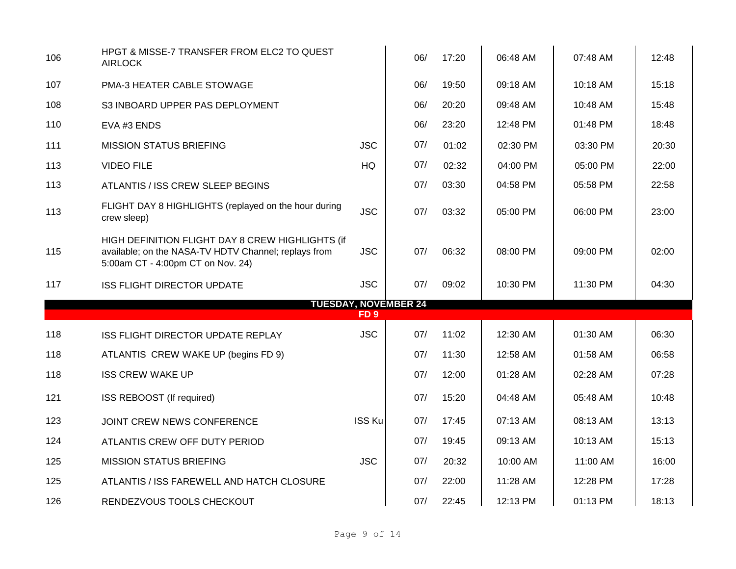| 106 | HPGT & MISSE-7 TRANSFER FROM ELC2 TO QUEST<br><b>AIRLOCK</b>                                                                                  |                 | 06/                         | 17:20 | 06:48 AM | 07:48 AM | 12:48 |
|-----|-----------------------------------------------------------------------------------------------------------------------------------------------|-----------------|-----------------------------|-------|----------|----------|-------|
| 107 | PMA-3 HEATER CABLE STOWAGE                                                                                                                    |                 | 06/                         | 19:50 | 09:18 AM | 10:18 AM | 15:18 |
| 108 | S3 INBOARD UPPER PAS DEPLOYMENT                                                                                                               |                 | 06/                         | 20:20 | 09:48 AM | 10:48 AM | 15:48 |
| 110 | EVA #3 ENDS                                                                                                                                   |                 | 06/                         | 23:20 | 12:48 PM | 01:48 PM | 18:48 |
| 111 | <b>MISSION STATUS BRIEFING</b>                                                                                                                | <b>JSC</b>      | 07/                         | 01:02 | 02:30 PM | 03:30 PM | 20:30 |
| 113 | <b>VIDEO FILE</b>                                                                                                                             | <b>HQ</b>       | 07/                         | 02:32 | 04:00 PM | 05:00 PM | 22:00 |
| 113 | ATLANTIS / ISS CREW SLEEP BEGINS                                                                                                              |                 | 07/                         | 03:30 | 04:58 PM | 05:58 PM | 22:58 |
| 113 | FLIGHT DAY 8 HIGHLIGHTS (replayed on the hour during<br>crew sleep)                                                                           | <b>JSC</b>      | 07/                         | 03:32 | 05:00 PM | 06:00 PM | 23:00 |
| 115 | HIGH DEFINITION FLIGHT DAY 8 CREW HIGHLIGHTS (if<br>available; on the NASA-TV HDTV Channel; replays from<br>5:00am CT - 4:00pm CT on Nov. 24) | <b>JSC</b>      | 07/                         | 06:32 | 08:00 PM | 09:00 PM | 02:00 |
| 117 | <b>ISS FLIGHT DIRECTOR UPDATE</b>                                                                                                             | <b>JSC</b>      | 07/                         | 09:02 | 10:30 PM | 11:30 PM | 04:30 |
|     |                                                                                                                                               | FD <sub>9</sub> | <b>TUESDAY, NOVEMBER 24</b> |       |          |          |       |
| 118 | ISS FLIGHT DIRECTOR UPDATE REPLAY                                                                                                             | <b>JSC</b>      | 07/                         | 11:02 | 12:30 AM | 01:30 AM | 06:30 |
| 118 | ATLANTIS CREW WAKE UP (begins FD 9)                                                                                                           |                 | 07/                         | 11:30 | 12:58 AM | 01:58 AM | 06:58 |
| 118 | <b>ISS CREW WAKE UP</b>                                                                                                                       |                 | 07/                         | 12:00 | 01:28 AM | 02:28 AM | 07:28 |
| 121 | ISS REBOOST (If required)                                                                                                                     |                 | 07/                         | 15:20 | 04:48 AM | 05:48 AM | 10:48 |
|     |                                                                                                                                               |                 |                             |       |          |          |       |
| 123 | JOINT CREW NEWS CONFERENCE                                                                                                                    | <b>ISS Ku</b>   | 07/                         | 17:45 | 07:13 AM | 08:13 AM | 13:13 |
| 124 | ATLANTIS CREW OFF DUTY PERIOD                                                                                                                 |                 | 07/                         | 19:45 | 09:13 AM | 10:13 AM | 15:13 |
| 125 | <b>MISSION STATUS BRIEFING</b>                                                                                                                | <b>JSC</b>      | 07/                         | 20:32 | 10:00 AM | 11:00 AM | 16:00 |
| 125 | ATLANTIS / ISS FAREWELL AND HATCH CLOSURE                                                                                                     |                 | 07/                         | 22:00 | 11:28 AM | 12:28 PM | 17:28 |
| 126 | RENDEZVOUS TOOLS CHECKOUT                                                                                                                     |                 | 07/                         | 22:45 | 12:13 PM | 01:13 PM | 18:13 |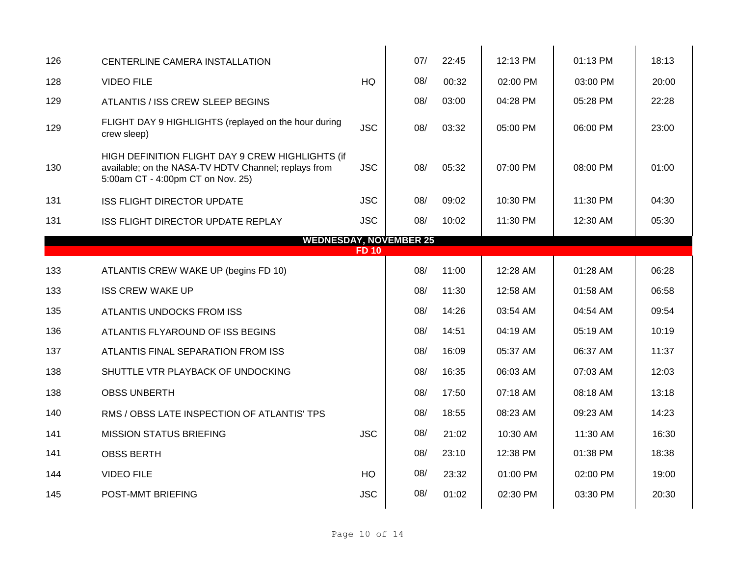| 126                           | CENTERLINE CAMERA INSTALLATION                                                                                                                |              | 07/ | 22:45 | 12:13 PM | 01:13 PM   | 18:13 |  |  |  |  |
|-------------------------------|-----------------------------------------------------------------------------------------------------------------------------------------------|--------------|-----|-------|----------|------------|-------|--|--|--|--|
| 128                           | <b>VIDEO FILE</b>                                                                                                                             | <b>HQ</b>    | 08/ | 00:32 | 02:00 PM | 03:00 PM   | 20:00 |  |  |  |  |
| 129                           | ATLANTIS / ISS CREW SLEEP BEGINS                                                                                                              |              | 08/ | 03:00 | 04:28 PM | 05:28 PM   | 22:28 |  |  |  |  |
| 129                           | FLIGHT DAY 9 HIGHLIGHTS (replayed on the hour during<br>crew sleep)                                                                           | <b>JSC</b>   | 08/ | 03:32 | 05:00 PM | 06:00 PM   | 23:00 |  |  |  |  |
| 130                           | HIGH DEFINITION FLIGHT DAY 9 CREW HIGHLIGHTS (if<br>available; on the NASA-TV HDTV Channel; replays from<br>5:00am CT - 4:00pm CT on Nov. 25) | <b>JSC</b>   | 08/ | 05:32 | 07:00 PM | 08:00 PM   | 01:00 |  |  |  |  |
| 131                           | <b>ISS FLIGHT DIRECTOR UPDATE</b>                                                                                                             | <b>JSC</b>   | 08/ | 09:02 | 10:30 PM | 11:30 PM   | 04:30 |  |  |  |  |
| 131                           | ISS FLIGHT DIRECTOR UPDATE REPLAY                                                                                                             | <b>JSC</b>   | 08/ | 10:02 | 11:30 PM | 12:30 AM   | 05:30 |  |  |  |  |
| <b>WEDNESDAY, NOVEMBER 25</b> |                                                                                                                                               |              |     |       |          |            |       |  |  |  |  |
|                               |                                                                                                                                               | <b>FD 10</b> |     |       |          |            |       |  |  |  |  |
| 133                           | ATLANTIS CREW WAKE UP (begins FD 10)                                                                                                          |              | 08/ | 11:00 | 12:28 AM | $01:28$ AM | 06:28 |  |  |  |  |
| 133                           | <b>ISS CREW WAKE UP</b>                                                                                                                       |              | 08/ | 11:30 | 12:58 AM | 01:58 AM   | 06:58 |  |  |  |  |
| 135                           | ATLANTIS UNDOCKS FROM ISS                                                                                                                     |              | 08/ | 14:26 | 03:54 AM | 04:54 AM   | 09:54 |  |  |  |  |
| 136                           | ATLANTIS FLYAROUND OF ISS BEGINS                                                                                                              |              | 08/ | 14:51 | 04:19 AM | 05:19 AM   | 10:19 |  |  |  |  |
| 137                           | ATLANTIS FINAL SEPARATION FROM ISS                                                                                                            |              | 08/ | 16:09 | 05:37 AM | 06:37 AM   | 11:37 |  |  |  |  |
| 138                           | SHUTTLE VTR PLAYBACK OF UNDOCKING                                                                                                             |              | 08/ | 16:35 | 06:03 AM | 07:03 AM   | 12:03 |  |  |  |  |
| 138                           | <b>OBSS UNBERTH</b>                                                                                                                           |              | 08/ | 17:50 | 07:18 AM | 08:18 AM   | 13:18 |  |  |  |  |
| 140                           | RMS / OBSS LATE INSPECTION OF ATLANTIS' TPS                                                                                                   |              | 08/ | 18:55 | 08:23 AM | 09:23 AM   | 14:23 |  |  |  |  |
| 141                           | <b>MISSION STATUS BRIEFING</b>                                                                                                                | <b>JSC</b>   | 08/ | 21:02 | 10:30 AM | 11:30 AM   | 16:30 |  |  |  |  |
| 141                           | <b>OBSS BERTH</b>                                                                                                                             |              | 08/ | 23:10 | 12:38 PM | 01:38 PM   | 18:38 |  |  |  |  |
| 144                           | <b>VIDEO FILE</b>                                                                                                                             | HQ           | 08/ | 23:32 | 01:00 PM | 02:00 PM   | 19:00 |  |  |  |  |
| 145                           | POST-MMT BRIEFING                                                                                                                             | <b>JSC</b>   | 08/ | 01:02 | 02:30 PM | 03:30 PM   | 20:30 |  |  |  |  |
|                               |                                                                                                                                               |              |     |       |          |            |       |  |  |  |  |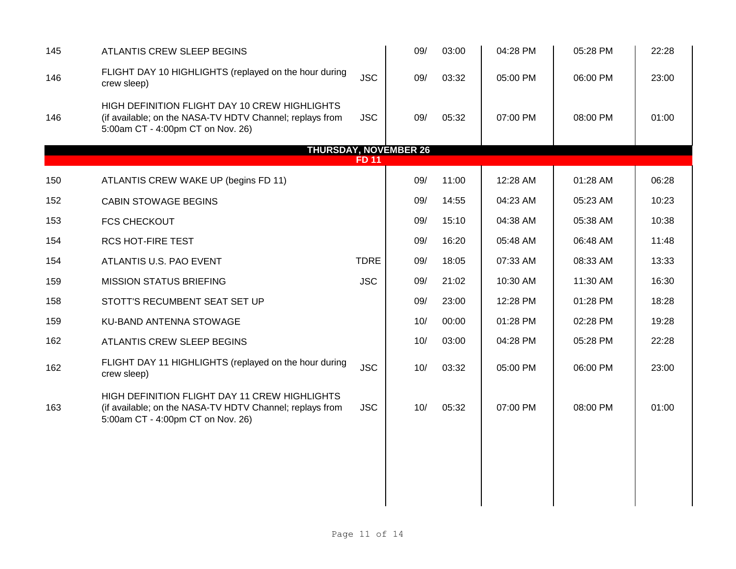| 145 | ATLANTIS CREW SLEEP BEGINS                                                                                                                     |              | 09/                          | 03:00 | 04:28 PM | 05:28 PM | 22:28 |
|-----|------------------------------------------------------------------------------------------------------------------------------------------------|--------------|------------------------------|-------|----------|----------|-------|
| 146 | FLIGHT DAY 10 HIGHLIGHTS (replayed on the hour during<br>crew sleep)                                                                           | <b>JSC</b>   | 09/                          | 03:32 | 05:00 PM | 06:00 PM | 23:00 |
| 146 | HIGH DEFINITION FLIGHT DAY 10 CREW HIGHLIGHTS<br>(if available; on the NASA-TV HDTV Channel; replays from<br>5:00am CT - 4:00pm CT on Nov. 26) | <b>JSC</b>   | 09/                          | 05:32 | 07:00 PM | 08:00 PM | 01:00 |
|     |                                                                                                                                                |              | <b>THURSDAY, NOVEMBER 26</b> |       |          |          |       |
|     |                                                                                                                                                | <b>FD 11</b> |                              |       |          |          |       |
| 150 | ATLANTIS CREW WAKE UP (begins FD 11)                                                                                                           |              | 09/                          | 11:00 | 12:28 AM | 01:28 AM | 06:28 |
| 152 | <b>CABIN STOWAGE BEGINS</b>                                                                                                                    |              | 09/                          | 14:55 | 04:23 AM | 05:23 AM | 10:23 |
| 153 | <b>FCS CHECKOUT</b>                                                                                                                            |              | 09/                          | 15:10 | 04:38 AM | 05:38 AM | 10:38 |
| 154 | <b>RCS HOT-FIRE TEST</b>                                                                                                                       |              | 09/                          | 16:20 | 05:48 AM | 06:48 AM | 11:48 |
| 154 | ATLANTIS U.S. PAO EVENT                                                                                                                        | <b>TDRE</b>  | 09/                          | 18:05 | 07:33 AM | 08:33 AM | 13:33 |
| 159 | <b>MISSION STATUS BRIEFING</b>                                                                                                                 | <b>JSC</b>   | 09/                          | 21:02 | 10:30 AM | 11:30 AM | 16:30 |
| 158 | STOTT'S RECUMBENT SEAT SET UP                                                                                                                  |              | 09/                          | 23:00 | 12:28 PM | 01:28 PM | 18:28 |
| 159 | KU-BAND ANTENNA STOWAGE                                                                                                                        |              | 10/                          | 00:00 | 01:28 PM | 02:28 PM | 19:28 |
| 162 | ATLANTIS CREW SLEEP BEGINS                                                                                                                     |              | 10/                          | 03:00 | 04:28 PM | 05:28 PM | 22:28 |
| 162 | FLIGHT DAY 11 HIGHLIGHTS (replayed on the hour during<br>crew sleep)                                                                           | <b>JSC</b>   | 10/                          | 03:32 | 05:00 PM | 06:00 PM | 23:00 |
| 163 | HIGH DEFINITION FLIGHT DAY 11 CREW HIGHLIGHTS<br>(if available; on the NASA-TV HDTV Channel; replays from<br>5:00am CT - 4:00pm CT on Nov. 26) | <b>JSC</b>   | 10/                          | 05:32 | 07:00 PM | 08:00 PM | 01:00 |
|     |                                                                                                                                                |              |                              |       |          |          |       |
|     |                                                                                                                                                |              |                              |       |          |          |       |
|     |                                                                                                                                                |              |                              |       |          |          |       |
|     |                                                                                                                                                |              |                              |       |          |          |       |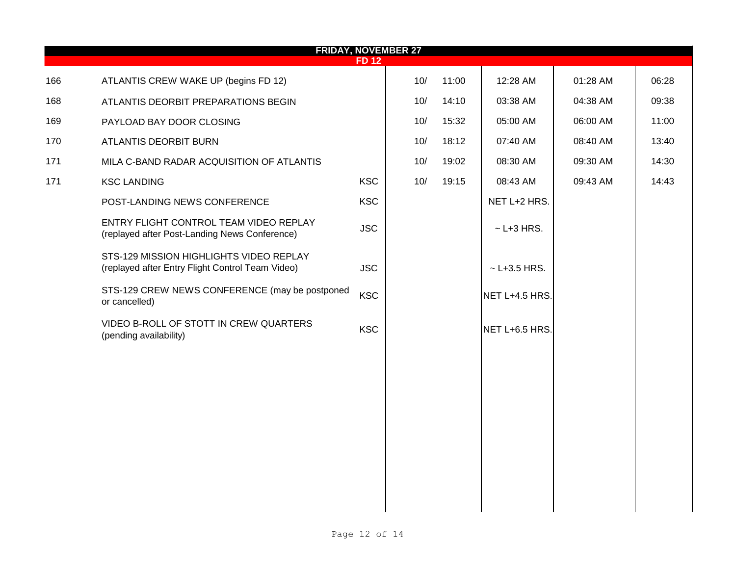|     | <b>FRIDAY, NOVEMBER 27</b><br><b>FD 12</b>                                                  |            |     |       |                  |          |       |  |  |  |  |  |
|-----|---------------------------------------------------------------------------------------------|------------|-----|-------|------------------|----------|-------|--|--|--|--|--|
| 166 | ATLANTIS CREW WAKE UP (begins FD 12)                                                        |            | 10/ | 11:00 | 12:28 AM         | 01:28 AM | 06:28 |  |  |  |  |  |
| 168 | ATLANTIS DEORBIT PREPARATIONS BEGIN                                                         |            | 10/ | 14:10 | 03:38 AM         | 04:38 AM | 09:38 |  |  |  |  |  |
| 169 | PAYLOAD BAY DOOR CLOSING                                                                    |            | 10/ | 15:32 | 05:00 AM         | 06:00 AM | 11:00 |  |  |  |  |  |
| 170 | ATLANTIS DEORBIT BURN                                                                       |            | 10/ | 18:12 | 07:40 AM         | 08:40 AM | 13:40 |  |  |  |  |  |
| 171 | MILA C-BAND RADAR ACQUISITION OF ATLANTIS                                                   |            | 10/ | 19:02 | 08:30 AM         | 09:30 AM | 14:30 |  |  |  |  |  |
| 171 | <b>KSC LANDING</b>                                                                          | <b>KSC</b> | 10/ | 19:15 | 08:43 AM         | 09:43 AM | 14:43 |  |  |  |  |  |
|     | POST-LANDING NEWS CONFERENCE                                                                | <b>KSC</b> |     |       | NET L+2 HRS.     |          |       |  |  |  |  |  |
|     | ENTRY FLIGHT CONTROL TEAM VIDEO REPLAY<br>(replayed after Post-Landing News Conference)     | <b>JSC</b> |     |       | $\sim$ L+3 HRS.  |          |       |  |  |  |  |  |
|     | STS-129 MISSION HIGHLIGHTS VIDEO REPLAY<br>(replayed after Entry Flight Control Team Video) | <b>JSC</b> |     |       | $~$ - L+3.5 HRS. |          |       |  |  |  |  |  |
|     | STS-129 CREW NEWS CONFERENCE (may be postponed<br>or cancelled)                             | <b>KSC</b> |     |       | NET L+4.5 HRS.   |          |       |  |  |  |  |  |
|     | VIDEO B-ROLL OF STOTT IN CREW QUARTERS<br>(pending availability)                            | <b>KSC</b> |     |       | NET L+6.5 HRS.   |          |       |  |  |  |  |  |
|     |                                                                                             |            |     |       |                  |          |       |  |  |  |  |  |
|     |                                                                                             |            |     |       |                  |          |       |  |  |  |  |  |
|     |                                                                                             |            |     |       |                  |          |       |  |  |  |  |  |
|     |                                                                                             |            |     |       |                  |          |       |  |  |  |  |  |
|     |                                                                                             |            |     |       |                  |          |       |  |  |  |  |  |
|     |                                                                                             |            |     |       |                  |          |       |  |  |  |  |  |
|     |                                                                                             |            |     |       |                  |          |       |  |  |  |  |  |
|     |                                                                                             |            |     |       |                  |          |       |  |  |  |  |  |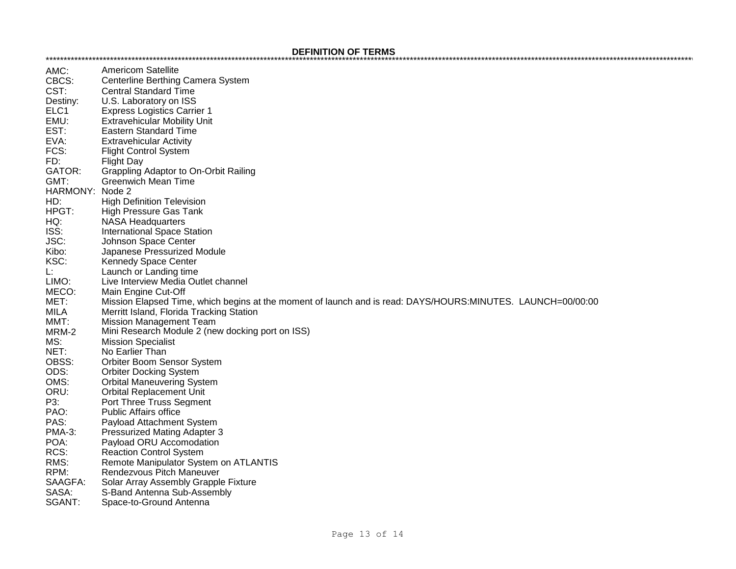| AMC:          | Americom Satellite                                                                                          |
|---------------|-------------------------------------------------------------------------------------------------------------|
| CBCS:         | Centerline Berthing Camera System                                                                           |
| CST:          | <b>Central Standard Time</b>                                                                                |
| Destiny:      | U.S. Laboratory on ISS                                                                                      |
| ELC1          | <b>Express Logistics Carrier 1</b>                                                                          |
| EMU:          | <b>Extravehicular Mobility Unit</b>                                                                         |
| EST:          | <b>Eastern Standard Time</b>                                                                                |
| EVA:          | <b>Extravehicular Activity</b>                                                                              |
| FCS:          | <b>Flight Control System</b>                                                                                |
| FD:           | <b>Flight Day</b>                                                                                           |
| GATOR:        | Grappling Adaptor to On-Orbit Railing                                                                       |
| GMT:          | <b>Greenwich Mean Time</b>                                                                                  |
| HARMONY:      | Node 2                                                                                                      |
| HD:           | <b>High Definition Television</b>                                                                           |
| HPGT:         | <b>High Pressure Gas Tank</b>                                                                               |
| HQ:           | <b>NASA Headquarters</b>                                                                                    |
| ISS:          | <b>International Space Station</b>                                                                          |
| JSC:          | Johnson Space Center                                                                                        |
| Kibo:         | Japanese Pressurized Module                                                                                 |
| KSC:          | Kennedy Space Center                                                                                        |
| L:            | Launch or Landing time                                                                                      |
| LIMO:         | Live Interview Media Outlet channel                                                                         |
| MECO:         | Main Engine Cut-Off                                                                                         |
| MET:          | Mission Elapsed Time, which begins at the moment of launch and is read: DAYS/HOURS:MINUTES. LAUNCH=00/00:00 |
| MILA          | Merritt Island, Florida Tracking Station                                                                    |
| MMT:          | <b>Mission Management Team</b>                                                                              |
| MRM-2         | Mini Research Module 2 (new docking port on ISS)                                                            |
| MS:           | <b>Mission Specialist</b>                                                                                   |
| NET:          | No Earlier Than                                                                                             |
| OBSS:         | Orbiter Boom Sensor System                                                                                  |
| ODS:          | <b>Orbiter Docking System</b>                                                                               |
| OMS:          | <b>Orbital Maneuvering System</b>                                                                           |
| ORU:          | <b>Orbital Replacement Unit</b>                                                                             |
| P3:           | Port Three Truss Segment                                                                                    |
| PAO:          | <b>Public Affairs office</b>                                                                                |
| PAS:          | Payload Attachment System                                                                                   |
| <b>PMA-3:</b> | Pressurized Mating Adapter 3                                                                                |
| POA:          | Payload ORU Accomodation                                                                                    |
| RCS:          | <b>Reaction Control System</b>                                                                              |
| RMS:          | Remote Manipulator System on ATLANTIS                                                                       |
| RPM:          | Rendezvous Pitch Maneuver                                                                                   |
| SAAGFA:       | Solar Array Assembly Grapple Fixture                                                                        |
| SASA:         | S-Band Antenna Sub-Assembly                                                                                 |
| SGANT:        | Space-to-Ground Antenna                                                                                     |